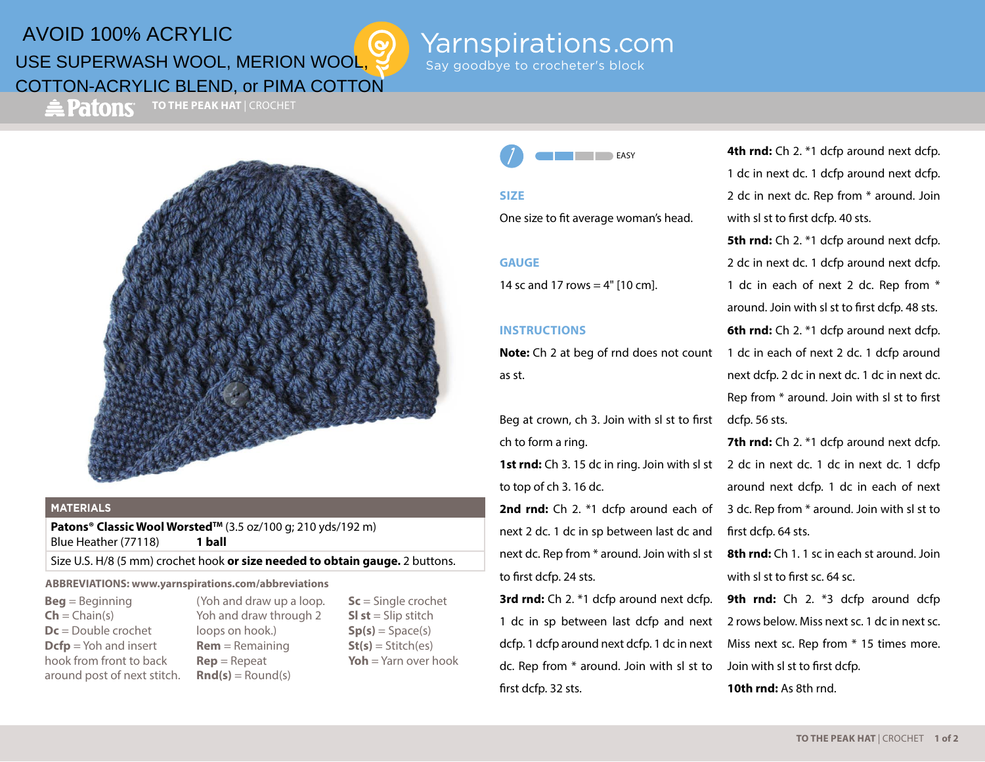# AVOID 100% ACRYLIC USE SUPERWASH WOOL, MERION WOOL, COTTON-ACRYLIC BLEND, or PIMA COTTON

 $\triangle$  Patons

**TO THE PEAK HAT** | CROCHET



#### **MATERIALS**

Patons<sup>®</sup> Classic Wool Worsted™ (3.5 oz/100 g; 210 yds/192 m) Blue Heather (77118) **1 ball**

Size U.S. H/8 (5 mm) crochet hook **or size needed to obtain gauge.** 2 buttons.

#### **ABBREVIATIONS: www.yarnspirations.com/abbreviations**

**Beg** = Beginning  $\mathsf{Ch} = \mathsf{Chain}(s)$ **Dc** = Double crochet **Dcfp** = Yoh and insert hook from front to back around post of next stitch.

(Yoh and draw up a loop. Yoh and draw through 2 loops on hook.) **Rem** = Remaining **Rep** = Repeat  $\text{Rnd}(s) = \text{Round}(s)$ 

**Sc** = Single crochet **Sl st** = Slip stitch  $Sp(s) = Space(s)$  $St(s) = Stitch(es)$ **Yoh** = Yarn over hook **EASY** 

Say goodbye to crocheter's block

Yarnspirations.com

#### **SIZE**

One size to fit average woman's head.

#### **GAUGE**

14 sc and 17 rows  $=$  4" [10 cm].

### **INSTRUCTIONS**

**Note:** Ch 2 at beg of rnd does not count as st.

Beg at crown, ch 3. Join with sl st to first ch to form a ring.

to top of ch 3. 16 dc.

2nd rnd: Ch 2. \*1 dcfp around each of next 2 dc. 1 dc in sp between last dc and next dc. Rep from \* around. Join with sl st to first dcfp. 24 sts.

**3rd rnd:** Ch 2. \*1 dcfp around next dcfp. 1 dc in sp between last dcfp and next dcfp. 1 dcfp around next dcfp. 1 dc in next dc. Rep from \* around. Join with sl st to first dcfp. 32 sts.

**4th rnd:** Ch 2. \*1 dcfp around next dcfp. 1 dc in next dc. 1 dcfp around next dcfp. 2 dc in next dc. Rep from \* around. Join with sl st to first dcfp. 40 sts.

**5th rnd:** Ch 2. \*1 dcfp around next dcfp. 2 dc in next dc. 1 dcfp around next dcfp. 1 dc in each of next 2 dc. Rep from \* around. Join with sl st to first dcfp. 48 sts. **6th rnd:** Ch 2. \*1 dcfp around next dcfp. 1 dc in each of next 2 dc. 1 dcfp around next dcfp. 2 dc in next dc. 1 dc in next dc. Rep from \* around. Join with sl st to first dcfp. 56 sts.

1st rnd: Ch 3. 15 dc in ring. Join with sl st 2 dc in next dc. 1 dc in next dc. 1 dcfp **7th rnd:** Ch 2. \*1 dcfp around next dcfp. around next dcfp. 1 dc in each of next 3 dc. Rep from \* around. Join with sl st to first dcfp. 64 sts.

> **8th rnd:** Ch 1. 1 sc in each st around. Join. with sl st to first sc. 64 sc.

> **9th rnd:** Ch 2. \*3 dcfp around dcfp 2 rows below. Miss next sc. 1 dc in next sc. Miss next sc. Rep from \* 15 times more. Join with sl st to first dcfp. **10th rnd:** As 8th rnd.